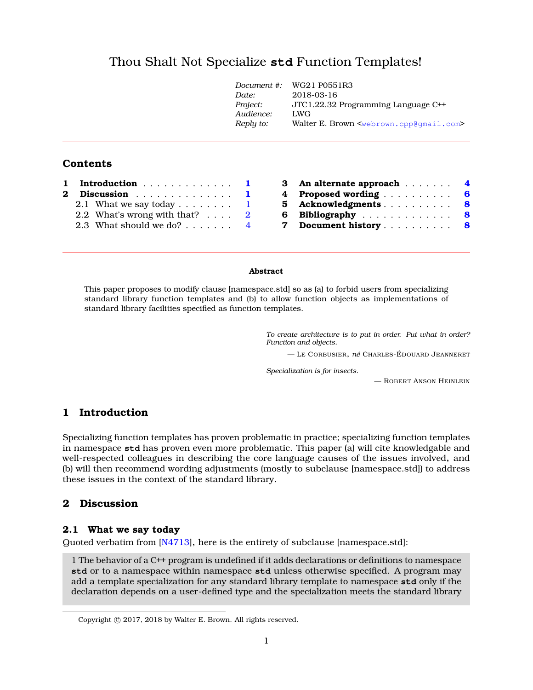# Thou Shalt Not Specialize **std** Function Templates[!](#page-0-0)

|           | Document #: WG21 P0551R3                                        |
|-----------|-----------------------------------------------------------------|
| Date:     | 2018-03-16                                                      |
| Project:  | JTC1.22.32 Programming Language C++                             |
| Audience: | LWG                                                             |
| Reply to: | Walter E. Brown <webrown.cpp@qmail.com></webrown.cpp@qmail.com> |
|           |                                                                 |

### **Contents**

|  | 1 Introduction 1<br>2 Discussion 1     |  | 3 An alternate approach 4      |
|--|----------------------------------------|--|--------------------------------|
|  |                                        |  | 4 Proposed wording 6           |
|  | 2.1 What we say today $\ldots$ 1       |  | 5 Acknowledgments 8            |
|  | 2.2 What's wrong with that? $\ldots$ 2 |  | 6 Bibliography 8               |
|  | 2.3 What should we do? 4               |  | Document history 8<br><b>7</b> |

#### **Abstract**

This paper proposes to modify clause [namespace.std] so as (a) to forbid users from specializing standard library function templates and (b) to allow function objects as implementations of standard library facilities specified as function templates.

> *To create architecture is to put in order. Put what in order? Function and objects.*

— L<sup>E</sup> CORBUSIER, *né* CHARLES-ÉDOUARD JEANNERET

*Specialization is for insects.*

— ROBERT ANSON HEINLEIN

### <span id="page-0-1"></span>**1 Introduction**

Specializing function templates has proven problematic in practice; specializing function templates in namespace **std** has proven even more problematic. This paper (a) will cite knowledgable and well-respected colleagues in describing the core language causes of the issues involved, and (b) will then recommend wording adjustments (mostly to subclause [namespace.std]) to address these issues in the context of the standard library.

#### <span id="page-0-2"></span>**2 Discussion**

#### <span id="page-0-3"></span>**2.1 What we say today**

Quoted verbatim from [\[N4713\]](#page-7-3), here is the entirety of subclause [namespace.std]:

1 The behavior of a C++ program is undefined if it adds declarations or definitions to namespace **std** or to a namespace within namespace **std** unless otherwise specified. A program may add a template specialization for any standard library template to namespace **std** only if the declaration depends on a user-defined type and the specialization meets the standard library

<span id="page-0-0"></span>Copyright © 2017, 2018 by Walter E. Brown. All rights reserved.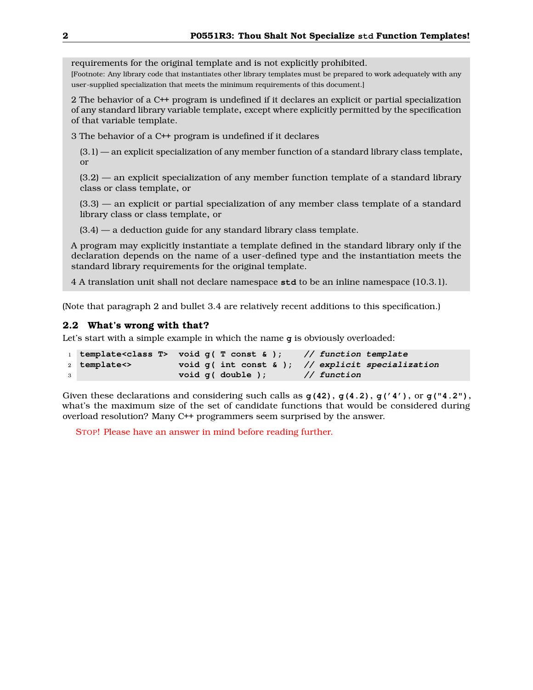requirements for the original template and is not explicitly prohibited.

[Footnote: Any library code that instantiates other library templates must be prepared to work adequately with any user-supplied specialization that meets the minimum requirements of this document.]

2 The behavior of a C++ program is undefined if it declares an explicit or partial specialization of any standard library variable template, except where explicitly permitted by the specification of that variable template.

3 The behavior of a C++ program is undefined if it declares

(3.1) — an explicit specialization of any member function of a standard library class template, or

(3.2) — an explicit specialization of any member function template of a standard library class or class template, or

(3.3) — an explicit or partial specialization of any member class template of a standard library class or class template, or

 $(3.4)$  — a deduction guide for any standard library class template.

A program may explicitly instantiate a template defined in the standard library only if the declaration depends on the name of a user-defined type and the instantiation meets the standard library requirements for the original template.

4 A translation unit shall not declare namespace **std** to be an inline namespace (10.3.1).

(Note that paragraph 2 and bullet 3.4 are relatively recent additions to this specification.)

### <span id="page-1-0"></span>**2.2 What's wrong with that?**

Let's start with a simple example in which the name **g** is obviously overloaded:

|              |              | 1 template <class <math="">T&gt; void q( T const &amp; );</class> | // function template                                  |
|--------------|--------------|-------------------------------------------------------------------|-------------------------------------------------------|
|              | 2 template<> |                                                                   | void $g($ int const & $);$ // explicit specialization |
| $\mathbf{3}$ |              | $void q ( double )$ ;                                             | // function                                           |

Given these declarations and considering such calls as **g(42)**, **g(4.2)**, **g('4')**, or **g("4.2")**, what's the maximum size of the set of candidate functions that would be considered during overload resolution? Many C++ programmers seem surprised by the answer.

STOP! Please have an answer in mind before reading further.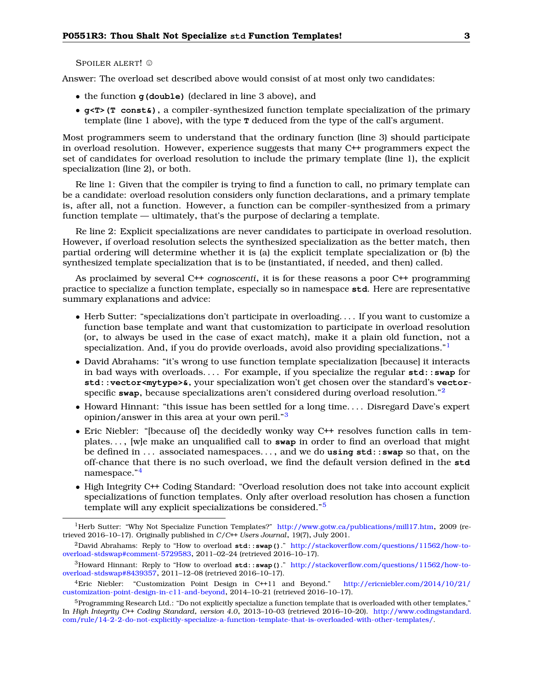SPOILER ALERT! ©

Answer: The overload set described above would consist of at most only two candidates:

- the function **g(double)** (declared in line 3 above), and
- **g<T>(T const&)**, a compiler-synthesized function template specialization of the primary template (line 1 above), with the type **T** deduced from the type of the call's argument.

Most programmers seem to understand that the ordinary function (line 3) should participate in overload resolution. However, experience suggests that many C++ programmers expect the set of candidates for overload resolution to include the primary template (line 1), the explicit specialization (line 2), or both.

Re line 1: Given that the compiler is trying to find a function to call, no primary template can be a candidate: overload resolution considers only function declarations, and a primary template is, after all, not a function. However, a function can be compiler-synthesized from a primary function template — ultimately, that's the purpose of declaring a template.

Re line 2: Explicit specializations are never candidates to participate in overload resolution. However, if overload resolution selects the synthesized specialization as the better match, then partial ordering will determine whether it is (a) the explicit template specialization or (b) the synthesized template specialization that is to be (instantiated, if needed, and then) called.

As proclaimed by several C++ *cognoscenti*, it is for these reasons a poor C++ programming practice to specialize a function template, especially so in namespace **std**. Here are representative summary explanations and advice:

- Herb Sutter: "specializations don't participate in overloading. . . . If you want to customize a function base template and want that customization to participate in overload resolution (or, to always be used in the case of exact match), make it a plain old function, not a specialization. And, if you do provide overloads, avoid also providing specializations."
- David Abrahams: "it's wrong to use function template specialization [because] it interacts in bad ways with overloads. . . . For example, if you specialize the regular **std::swap** for **std::vector<mytype>&**, your specialization won't get chosen over the standard's **vector**specific **swap**, because specializations aren't considered during overload resolution."[2](#page-2-1)
- Howard Hinnant: "this issue has been settled for a long time. . . . Disregard Dave's expert opinion/answer in this area at your own peril."[3](#page-2-2)
- Eric Niebler: "[because of] the decidedly wonky way C++ resolves function calls in templates. . . , [w]e make an unqualified call to **swap** in order to find an overload that might be defined in . . . associated namespaces. . . , and we do **using std::swap** so that, on the off-chance that there is no such overload, we find the default version defined in the **std** namespace."[4](#page-2-3)
- High Integrity C++ Coding Standard: "Overload resolution does not take into account explicit specializations of function templates. Only after overload resolution has chosen a function template will any explicit specializations be considered."[5](#page-2-4)

<span id="page-2-0"></span><sup>&</sup>lt;sup>1</sup>Herb Sutter: "Why Not Specialize Function Templates?" <http://www.gotw.ca/publications/mill17.htm>, 2009 (retrieved 2016–10–17). Originally published in *C/C++ Users Journal*, 19(7), July 2001.

<span id="page-2-1"></span><sup>2</sup>David Abrahams: Reply to "How to overload **std::swap()**." [http://stackoverflow.com/questions/11562/how-to](http://stackoverflow.com/questions/11562/how-to-overload-stdswap#comment-5729583)[overload-stdswap#comment-5729583](http://stackoverflow.com/questions/11562/how-to-overload-stdswap#comment-5729583), 2011–02–24 (retrieved 2016–10–17).

<span id="page-2-2"></span><sup>3</sup>Howard Hinnant: Reply to "How to overload **std::swap()**." [http://stackoverflow.com/questions/11562/how-to](http://stackoverflow.com/questions/11562/how-to-overload-stdswap#8439357)[overload-stdswap#8439357](http://stackoverflow.com/questions/11562/how-to-overload-stdswap#8439357), 2011–12–08 (retrieved 2016–10–17).

<span id="page-2-3"></span><sup>4</sup>Eric Niebler: "Customization Point Design in C++11 and Beyond." [http://ericniebler.com/2014/10/21/](http://ericniebler.com/2014/10/21/customization-point-design-in-c11-and-beyond) [customization-point-design-in-c11-and-beyond](http://ericniebler.com/2014/10/21/customization-point-design-in-c11-and-beyond), 2014–10–21 (retrieved 2016–10–17).

<span id="page-2-4"></span> $^5$ Programming Research Ltd.: "Do not explicitly specialize a function template that is overloaded with other templates," In *High Integrity C++ Coding Standard, version 4.0*, 2013–10–03 (retrieved 2016–10–20). [http://www.codingstandard.](http://www.codingstandard.com/rule/14-2-2-do-not-explicitly-specialize-a-function-template-that-is-overloaded-with-other-templates/) [com/rule/14-2-2-do-not-explicitly-specialize-a-function-template-that-is-overloaded-with-other-templates/.](http://www.codingstandard.com/rule/14-2-2-do-not-explicitly-specialize-a-function-template-that-is-overloaded-with-other-templates/)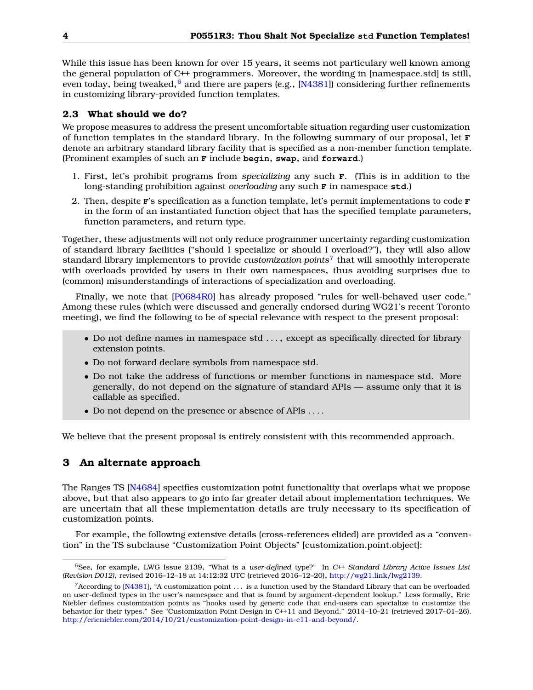While this issue has been known for over 15 years, it seems not particulary well known among the general population of C++ programmers. Moreover, the wording in [namespace.std] is still, even today, being tweaked, $^6$  $^6$  and there are papers (e.g., [N $4381$ ]) considering further refinements in customizing library-provided function templates.

#### <span id="page-3-0"></span>**2.3 What should we do?**

We propose measures to address the present uncomfortable situation regarding user customization of function templates in the standard library. In the following summary of our proposal, let **F** denote an arbitrary standard library facility that is specified as a non-member function template. (Prominent examples of such an **F** include **begin**, **swap**, and **forward**.)

- 1. First, let's prohibit programs from *specializing* any such **F**. (This is in addition to the long-standing prohibition against *overloading* any such **F** in namespace **std**.)
- 2. Then, despite **F**'s specification as a function template, let's permit implementations to code **F** in the form of an instantiated function object that has the specified template parameters, function parameters, and return type.

Together, these adjustments will not only reduce programmer uncertainty regarding customization of standard library facilities ("should I specialize or should I overload?"), they will also allow standard library implementors to provide *customization points*[7](#page-3-3) that will smoothly interoperate with overloads provided by users in their own namespaces, thus avoiding surprises due to (common) misunderstandings of interactions of specialization and overloading.

Finally, we note that [\[P0684R0\]](#page-7-5) has already proposed "rules for well-behaved user code." Among these rules (which were discussed and generally endorsed during WG21's recent Toronto meeting), we find the following to be of special relevance with respect to the present proposal:

- Do not define names in namespace std . . . , except as specifically directed for library extension points.
- Do not forward declare symbols from namespace std.
- Do not take the address of functions or member functions in namespace std. More generally, do not depend on the signature of standard APIs — assume only that it is callable as specified.
- Do not depend on the presence or absence of APIs . . . .

<span id="page-3-1"></span>We believe that the present proposal is entirely consistent with this recommended approach.

### **3 An alternate approach**

The Ranges TS [\[N4684\]](#page-7-6) specifies customization point functionality that overlaps what we propose above, but that also appears to go into far greater detail about implementation techniques. We are uncertain that all these implementation details are truly necessary to its specification of customization points.

For example, the following extensive details (cross-references elided) are provided as a "convention" in the TS subclause "Customization Point Objects" [customization.point.object]:

<span id="page-3-2"></span><sup>6</sup>See, for example, LWG Issue 2139, "What is a *user-defined* type?" In *C++ Standard Library Active Issues List (Revision D012)*, revised 2016–12–18 at 14:12:32 UTC (retrieved 2016–12–20), [http://wg21.link/lwg2139.](http://wg21.link/lwg2139)

<span id="page-3-3"></span><sup>&</sup>lt;sup>7</sup> According to [\[N4381\]](#page-7-4), "A customization point  $\ldots$  is a function used by the Standard Library that can be overloaded on user-defined types in the user's namespace and that is found by argument-dependent lookup." Less formally, Eric Niebler defines customization points as "hooks used by generic code that end-users can specialize to customize the behavior for their types." See "Customization Point Design in C++11 and Beyond." 2014–10–21 (retrieved 2017–01–26). [http://ericniebler.com/2014/10/21/customization-point-design-in-c11-and-beyond/.](http://ericniebler.com/2014/10/21/customization-point-design-in-c11-and-beyond/)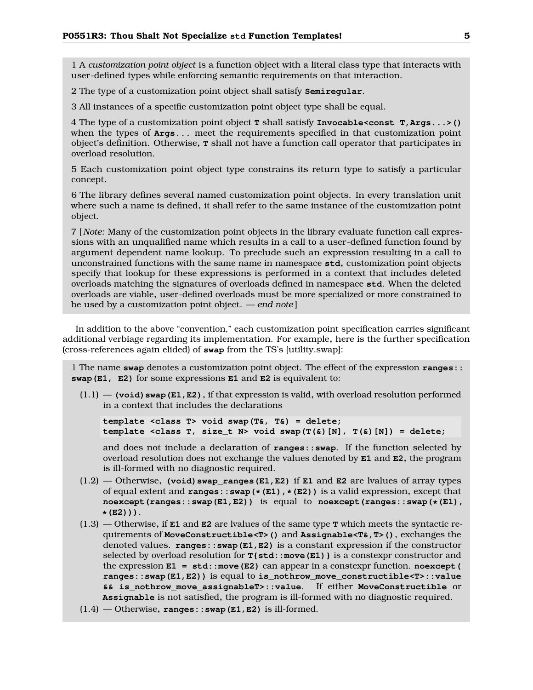1 A *customization point object* is a function object with a literal class type that interacts with user-defined types while enforcing semantic requirements on that interaction.

2 The type of a customization point object shall satisfy **Semiregular**.

3 All instances of a specific customization point object type shall be equal.

4 The type of a customization point object **T** shall satisfy **Invocable<const T,Args...>()** when the types of **Args...** meet the requirements specified in that customization point object's definition. Otherwise, **T** shall not have a function call operator that participates in overload resolution.

5 Each customization point object type constrains its return type to satisfy a particular concept.

6 The library defines several named customization point objects. In every translation unit where such a name is defined, it shall refer to the same instance of the customization point object.

7 [ *Note:* Many of the customization point objects in the library evaluate function call expressions with an unqualified name which results in a call to a user-defined function found by argument dependent name lookup. To preclude such an expression resulting in a call to unconstrained functions with the same name in namespace **std**, customization point objects specify that lookup for these expressions is performed in a context that includes deleted overloads matching the signatures of overloads defined in namespace **std**. When the deleted overloads are viable, user-defined overloads must be more specialized or more constrained to be used by a customization point object. *— end note* ]

In addition to the above "convention," each customization point specification carries significant additional verbiage regarding its implementation. For example, here is the further specification (cross-references again elided) of **swap** from the TS's [utility.swap]:

1 The name **swap** denotes a customization point object. The effect of the expression **ranges:: swap(E1, E2)** for some expressions **E1** and **E2** is equivalent to:

 $(1.1)$  — **(void) swap(E1, E2)**, if that expression is valid, with overload resolution performed in a context that includes the declarations

**template <class T> void swap(T&, T&) = delete; template <class T, size\_t N> void swap(T(&)[N], T(&)[N]) = delete;**

and does not include a declaration of **ranges::swap**. If the function selected by overload resolution does not exchange the values denoted by **E1** and **E2**, the program is ill-formed with no diagnostic required.

- $(1.2)$  Otherwise, **(void)** swap ranges **(E1, E2)** if **E1** and **E2** are lvalues of array types of equal extent and **ranges::swap(\*(E1),\*(E2))** is a valid expression, except that **noexcept(ranges::swap(E1,E2))** is equal to **noexcept(ranges::swap(\*(E1), \*(E2)))**.
- (1.3) Otherwise, if **E1** and **E2** are lvalues of the same type **T** which meets the syntactic requirements of **MoveConstructible<T>()** and **Assignable<T&,T>()**, exchanges the denoted values. **ranges::swap(E1,E2)** is a constant expression if the constructor selected by overload resolution for **T{std::move(E1)}** is a constexpr constructor and the expression **E1 = std::move(E2)** can appear in a constexpr function. **noexcept( ranges::swap(E1,E2))** is equal to **is\_nothrow\_move\_constructible<T>::value && is\_nothrow\_move\_assignableT>::value**. If either **MoveConstructible** or **Assignable** is not satisfied, the program is ill-formed with no diagnostic required.
- (1.4) Otherwise, **ranges::swap(E1,E2)** is ill-formed.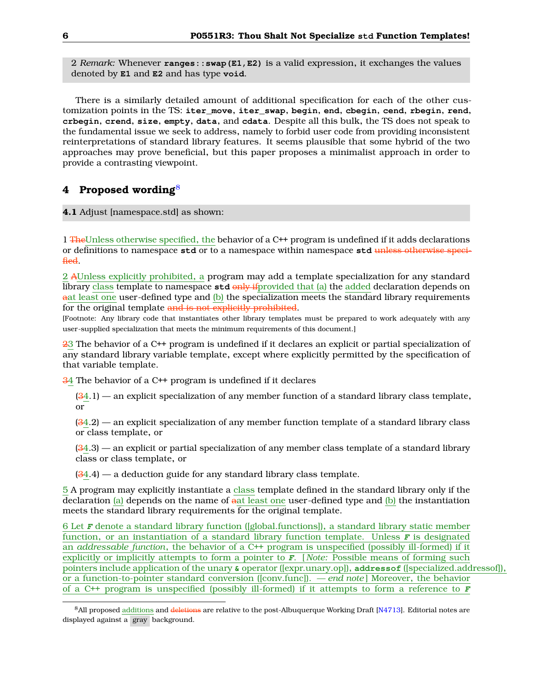2 *Remark:* Whenever **ranges::swap(E1,E2)** is a valid expression, it exchanges the values denoted by **E1** and **E2** and has type **void**.

There is a similarly detailed amount of additional specification for each of the other customization points in the TS: **iter\_move**, **iter\_swap**, **begin**, **end**, **cbegin**, **cend**, **rbegin**, **rend**, **crbegin**, **crend**, **size**, **empty**, **data**, and **cdata**. Despite all this bulk, the TS does not speak to the fundamental issue we seek to address, namely to forbid user code from providing inconsistent reinterpretations of standard library features. It seems plausible that some hybrid of the two approaches may prove beneficial, but this paper proposes a minimalist approach in order to provide a contrasting viewpoint.

### <span id="page-5-0"></span>**4 Proposed wording**[8](#page-5-1)

#### **4.1** Adjust [namespace.std] as shown:

1 TheUnless otherwise specified, the behavior of a C++ program is undefined if it adds declarations or definitions to namespace **std** or to a namespace within namespace **std** unless otherwise specified.

2 AUnless explicitly prohibited, a program may add a template specialization for any standard library class template to namespace std only if provided that (a) the added declaration depends on aat least one user-defined type and (b) the specialization meets the standard library requirements for the original template and is not explicitly prohibited.

[Footnote: Any library code that instantiates other library templates must be prepared to work adequately with any user-supplied specialization that meets the minimum requirements of this document.]

23 The behavior of a C++ program is undefined if it declares an explicit or partial specialization of any standard library variable template, except where explicitly permitted by the specification of that variable template.

34 The behavior of a C++ program is undefined if it declares

 $(34.1)$  — an explicit specialization of any member function of a standard library class template, or

 $(34.2)$  — an explicit specialization of any member function template of a standard library class or class template, or

 $(34.3)$  — an explicit or partial specialization of any member class template of a standard library class or class template, or

 $(34.4)$  — a deduction guide for any standard library class template.

5 A program may explicitly instantiate a class template defined in the standard library only if the declaration (a) depends on the name of aat least one user-defined type and (b) the instantiation meets the standard library requirements for the original template.

6 Let **F** denote a standard library function ([global.functions]), a standard library static member function, or an instantiation of a standard library function template. Unless **F** is designated an *addressable function*, the behavior of a C++ program is unspecified (possibly ill-formed) if it explicitly or implicitly attempts to form a pointer to **F**. [ *Note:* Possible means of forming such pointers include application of the unary **&** operator ([expr.unary.op]), **addressof** ([specialized.addressof]), or a function-to-pointer standard conversion ([conv.func]). *— end note* ] Moreover, the behavior of a C++ program is unspecified (possibly ill-formed) if it attempts to form a reference to **F**

<span id="page-5-1"></span><sup>&</sup>lt;sup>8</sup>All proposed additions and deletions are relative to the post-Albuquerque Working Draft [\[N4713\]](#page-7-3). Editorial notes are displayed against a gray background.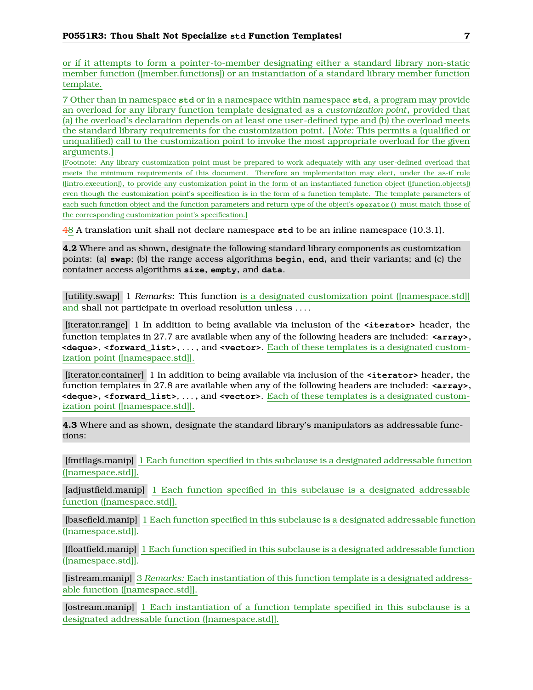or if it attempts to form a pointer-to-member designating either a standard library non-static member function ([member.functions]) or an instantiation of a standard library member function template.

7 Other than in namespace **std** or in a namespace within namespace **std**, a program may provide an overload for any library function template designated as a *customization point*, provided that (a) the overload's declaration depends on at least one user-defined type and (b) the overload meets the standard library requirements for the customization point. [ *Note:* This permits a (qualified or unqualified) call to the customization point to invoke the most appropriate overload for the given arguments.]

[Footnote: Any library customization point must be prepared to work adequately with any user-defined overload that meets the minimum requirements of this document. Therefore an implementation may elect, under the as-if rule ([intro.execution]), to provide any customization point in the form of an instantiated function object ([function.objects]) even though the customization point's specification is in the form of a function template. The template parameters of each such function object and the function parameters and return type of the object's **operator()** must match those of the corresponding customization point's specification.]

48 A translation unit shall not declare namespace **std** to be an inline namespace (10.3.1).

**4.2** Where and as shown, designate the following standard library components as customization points: (a) **swap**; (b) the range access algorithms **begin**, **end**, and their variants; and (c) the container access algorithms **size**, **empty**, and **data**.

[utility.swap] 1 *Remarks:* This function is a designated customization point ([namespace.std]] and shall not participate in overload resolution unless . . . .

[iterator.range] 1 In addition to being available via inclusion of the **<iterator>** header, the function templates in 27.7 are available when any of the following headers are included: **<array>**, **<deque>**, **<forward\_list>**, . . . , and **<vector>**. Each of these templates is a designated customization point ([namespace.std]].

[iterator.container] 1 In addition to being available via inclusion of the **<iterator>** header, the function templates in 27.8 are available when any of the following headers are included: **<array>**, **<deque>**, **<forward\_list>**, . . . , and **<vector>**. Each of these templates is a designated customization point ([namespace.std]].

**4.3** Where and as shown, designate the standard library's manipulators as addressable functions:

[fmtflags.manip] 1 Each function specified in this subclause is a designated addressable function ([namespace.std]].

[adjustfield.manip] 1 Each function specified in this subclause is a designated addressable function ([namespace.std]].

[basefield.manip] 1 Each function specified in this subclause is a designated addressable function ([namespace.std]].

[floatfield.manip] 1 Each function specified in this subclause is a designated addressable function ([namespace.std]].

[istream.manip] 3 *Remarks:* Each instantiation of this function template is a designated addressable function ([namespace.std]].

[ostream.manip] 1 Each instantiation of a function template specified in this subclause is a designated addressable function ([namespace.std]].